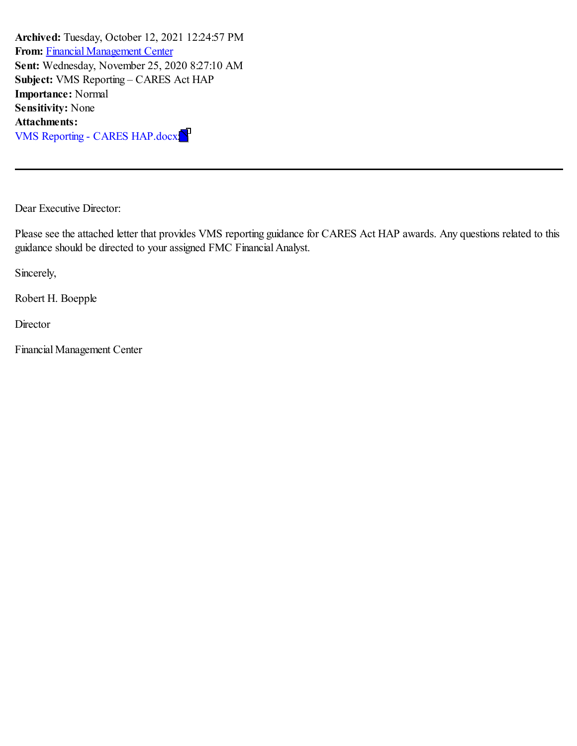**Archived:** Tuesday, October 12, 2021 12:24:57 PM **From:** Financial [Management](mailto:FinancialManagementCenter@hud.gov) Center **Sent:** Wednesday, November 25, 2020 8:27:10 AM **Subject:** VMS Reporting – CARES Act HAP **Importance:** Normal **Sensitivity:** None **Attachments:** VMS Reporting - CARES HAP.docx;

Dear Executive Director:

Please see the attached letter that provides VMS reporting guidance for CARES Act HAP awards. Any questions related to this guidance should be directed to your assigned FMC Financial Analyst.

Sincerely,

Robert H. Boepple

**Director** 

Financial Management Center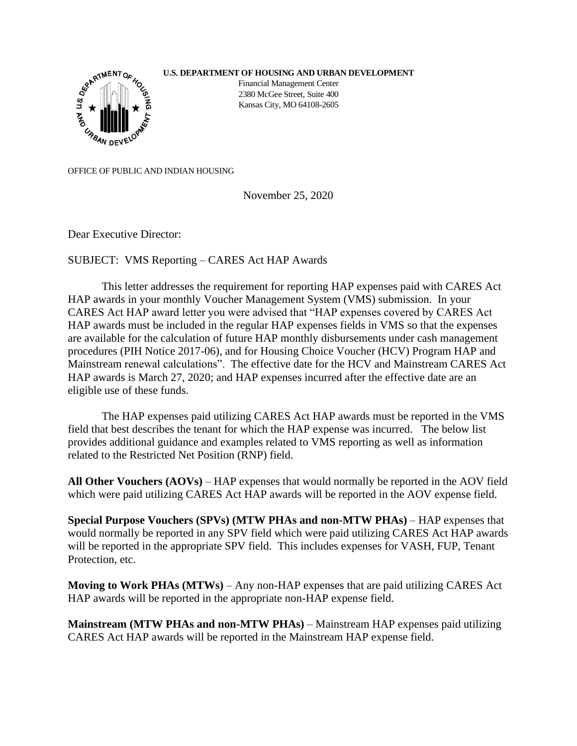## **U.S. DEPARTMENT OF HOUSING AND URBAN DEVELOPMENT**



Financial Management Center 2380 McGee Street, Suite 400 Kansas City, MO 64108-2605

OFFICE OF PUBLIC AND INDIAN HOUSING

November 25, 2020

Dear Executive Director:

SUBJECT: VMS Reporting – CARES Act HAP Awards

This letter addresses the requirement for reporting HAP expenses paid with CARES Act HAP awards in your monthly Voucher Management System (VMS) submission. In your CARES Act HAP award letter you were advised that "HAP expenses covered by CARES Act HAP awards must be included in the regular HAP expenses fields in VMS so that the expenses are available for the calculation of future HAP monthly disbursements under cash management procedures (PIH Notice 2017-06), and for Housing Choice Voucher (HCV) Program HAP and Mainstream renewal calculations". The effective date for the HCV and Mainstream CARES Act HAP awards is March 27, 2020; and HAP expenses incurred after the effective date are an eligible use of these funds.

The HAP expenses paid utilizing CARES Act HAP awards must be reported in the VMS field that best describes the tenant for which the HAP expense was incurred. The below list provides additional guidance and examples related to VMS reporting as well as information related to the Restricted Net Position (RNP) field.

**All Other Vouchers (AOVs)** – HAP expenses that would normally be reported in the AOV field which were paid utilizing CARES Act HAP awards will be reported in the AOV expense field.

**Special Purpose Vouchers (SPVs) (MTW PHAs and non-MTW PHAs)** – HAP expenses that would normally be reported in any SPV field which were paid utilizing CARES Act HAP awards will be reported in the appropriate SPV field. This includes expenses for VASH, FUP, Tenant Protection, etc.

**Moving to Work PHAs (MTWs)** – Any non-HAP expenses that are paid utilizing CARES Act HAP awards will be reported in the appropriate non-HAP expense field.

**Mainstream (MTW PHAs and non-MTW PHAs)** – Mainstream HAP expenses paid utilizing CARES Act HAP awards will be reported in the Mainstream HAP expense field.